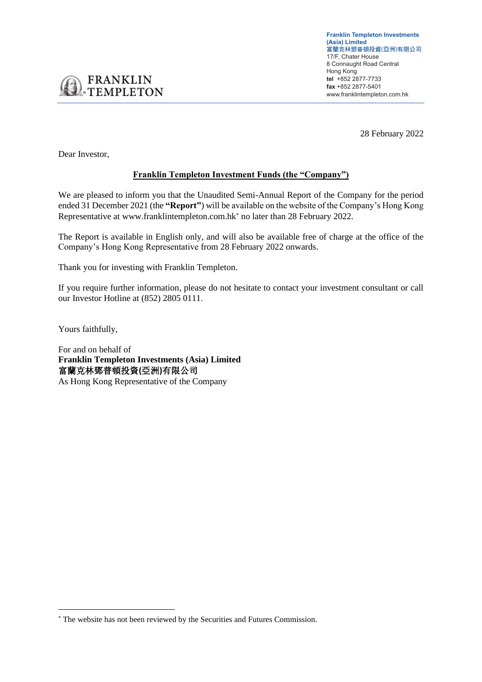**Franklin Templeton Investments (Asia) Limited** 富蘭克林鄧普頓投資(亞洲)有限公司 17/F, Chater House 8 Connaught Road Central Hong Kong **tel** +852 2877-7733 **fax** +852 2877-5401 www.franklintempleton.com.hk

28 February 2022

Dear Investor,

**FRANKLIN TEMPLETON** 

## **Franklin Templeton Investment Funds (the "Company")**

We are pleased to inform you that the Unaudited Semi-Annual Report of the Company for the period ended 31 December 2021 (the **"Report"**) will be available on the website of the Company's Hong Kong Representative at www.franklintempleton.com.hk<sup>\*</sup> no later than 28 February 2022.

The Report is available in English only, and will also be available free of charge at the office of the Company's Hong Kong Representative from 28 February 2022 onwards.

Thank you for investing with Franklin Templeton.

If you require further information, please do not hesitate to contact your investment consultant or call our Investor Hotline at (852) 2805 0111.

Yours faithfully,

For and on behalf of **Franklin Templeton Investments (Asia) Limited** 富蘭克林鄧普頓投資**(**亞洲**)**有限公司

As Hong Kong Representative of the Company

The website has not been reviewed by the Securities and Futures Commission.